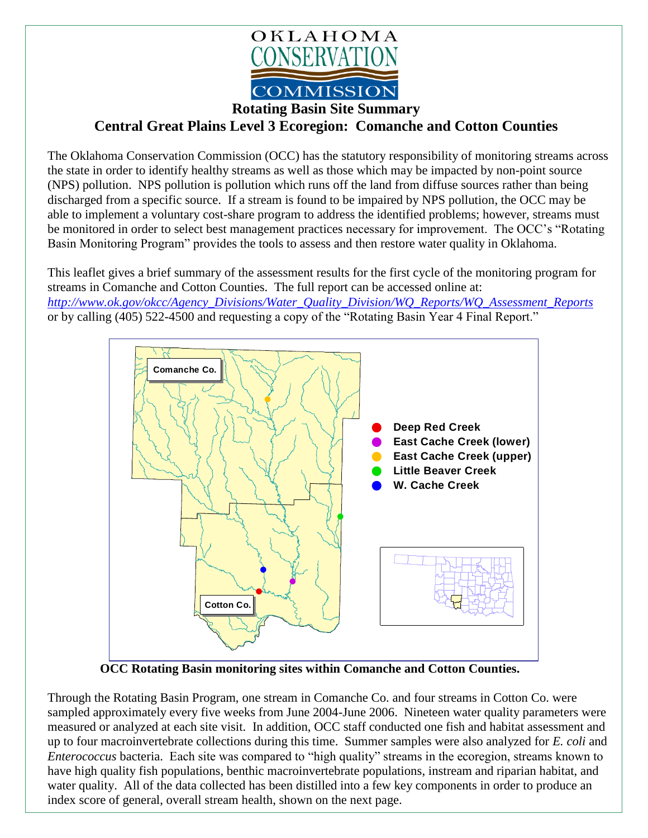

**Rotating Basin Site Summary**

## **Central Great Plains Level 3 Ecoregion: Comanche and Cotton Counties**

The Oklahoma Conservation Commission (OCC) has the statutory responsibility of monitoring streams across the state in order to identify healthy streams as well as those which may be impacted by non-point source (NPS) pollution. NPS pollution is pollution which runs off the land from diffuse sources rather than being discharged from a specific source. If a stream is found to be impaired by NPS pollution, the OCC may be able to implement a voluntary cost-share program to address the identified problems; however, streams must be monitored in order to select best management practices necessary for improvement. The OCC's "Rotating Basin Monitoring Program" provides the tools to assess and then restore water quality in Oklahoma.

This leaflet gives a brief summary of the assessment results for the first cycle of the monitoring program for streams in Comanche and Cotton Counties. The full report can be accessed online at: *[http://www.ok.gov/okcc/Agency\\_Divisions/Water\\_Quality\\_Division/WQ\\_Reports/WQ\\_Assessment\\_Reports](http://www.ok.gov/okcc/Agency_Divisions/Water_Quality_Division/WQ_Reports/WQ_Assessment_Reports)* or by calling (405) 522-4500 and requesting a copy of the "Rotating Basin Year 4 Final Report."



**OCC Rotating Basin monitoring sites within Comanche and Cotton Counties.**

Through the Rotating Basin Program, one stream in Comanche Co. and four streams in Cotton Co. were sampled approximately every five weeks from June 2004-June 2006. Nineteen water quality parameters were measured or analyzed at each site visit. In addition, OCC staff conducted one fish and habitat assessment and up to four macroinvertebrate collections during this time. Summer samples were also analyzed for *E. coli* and *Enterococcus* bacteria. Each site was compared to "high quality" streams in the ecoregion, streams known to have high quality fish populations, benthic macroinvertebrate populations, instream and riparian habitat, and water quality. All of the data collected has been distilled into a few key components in order to produce an index score of general, overall stream health, shown on the next page.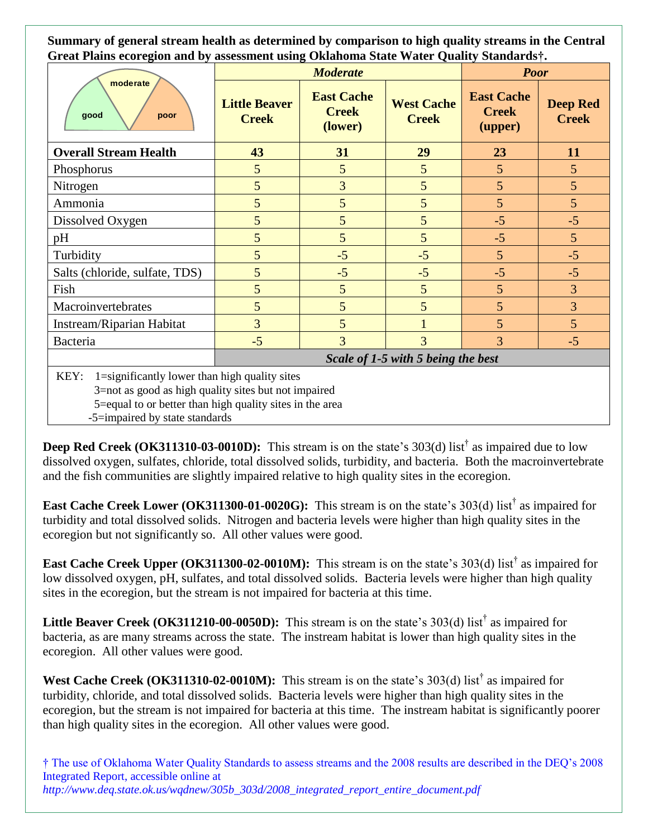**Summary of general stream health as determined by comparison to high quality streams in the Central Great Plains ecoregion and by assessment using Oklahoma State Water Quality Standards†.**

| moderate<br>good<br>poor                                                                                                                                                  | <b>Moderate</b>                      |                                              |                                   | <b>Poor</b>                                  |                                 |
|---------------------------------------------------------------------------------------------------------------------------------------------------------------------------|--------------------------------------|----------------------------------------------|-----------------------------------|----------------------------------------------|---------------------------------|
|                                                                                                                                                                           | <b>Little Beaver</b><br><b>Creek</b> | <b>East Cache</b><br><b>Creek</b><br>(lower) | <b>West Cache</b><br><b>Creek</b> | <b>East Cache</b><br><b>Creek</b><br>(upper) | <b>Deep Red</b><br><b>Creek</b> |
| <b>Overall Stream Health</b>                                                                                                                                              | 43                                   | 31                                           | 29                                | 23                                           | 11                              |
| Phosphorus                                                                                                                                                                | 5                                    | 5                                            | 5                                 | 5                                            | 5 <sup>5</sup>                  |
| Nitrogen                                                                                                                                                                  | 5                                    | 3                                            | 5                                 | 5                                            | $\overline{5}$                  |
| Ammonia                                                                                                                                                                   | 5                                    | 5                                            | 5                                 | 5                                            | 5 <sup>5</sup>                  |
| Dissolved Oxygen                                                                                                                                                          | 5                                    | 5                                            | 5                                 | $-5$                                         | $-5$                            |
| pH                                                                                                                                                                        | 5                                    | 5                                            | 5                                 | $-5$                                         | 5 <sup>5</sup>                  |
| Turbidity                                                                                                                                                                 | 5                                    | $-5$                                         | $-5$                              | 5                                            | $-5$                            |
| Salts (chloride, sulfate, TDS)                                                                                                                                            | 5                                    | $-5$                                         | $-5$                              | $-5$                                         | $-5$                            |
| Fish                                                                                                                                                                      | 5                                    | 5                                            | 5                                 | 5                                            | $\overline{3}$                  |
| Macroinvertebrates                                                                                                                                                        | 5                                    | 5                                            | 5                                 | 5                                            | $\overline{3}$                  |
| Instream/Riparian Habitat                                                                                                                                                 | 3                                    | 5                                            | $\mathbf{1}$                      | 5                                            | 5 <sup>5</sup>                  |
| Bacteria                                                                                                                                                                  | $-5$                                 | 3                                            | 3                                 | 3                                            | $-5$                            |
|                                                                                                                                                                           | Scale of 1-5 with 5 being the best   |                                              |                                   |                                              |                                 |
| KEY:<br>1=significantly lower than high quality sites<br>3=not as good as high quality sites but not impaired<br>5=equal to or better than high quality sites in the area |                                      |                                              |                                   |                                              |                                 |

-5=impaired by state standards

**Deep Red Creek** (OK311310-03-0010D): This stream is on the state's 303(d) list<sup>†</sup> as impaired due to low dissolved oxygen, sulfates, chloride, total dissolved solids, turbidity, and bacteria. Both the macroinvertebrate and the fish communities are slightly impaired relative to high quality sites in the ecoregion.

**East Cache Creek Lower (OK311300-01-0020G):** This stream is on the state's 303(d) list<sup>†</sup> as impaired for turbidity and total dissolved solids. Nitrogen and bacteria levels were higher than high quality sites in the ecoregion but not significantly so. All other values were good.

**East Cache Creek Upper (OK311300-02-0010M):** This stream is on the state's 303(d) list<sup>†</sup> as impaired for low dissolved oxygen, pH, sulfates, and total dissolved solids. Bacteria levels were higher than high quality sites in the ecoregion, but the stream is not impaired for bacteria at this time.

**Little Beaver Creek (OK311210-00-0050D):** This stream is on the state's 303(d) list<sup>†</sup> as impaired for bacteria, as are many streams across the state. The instream habitat is lower than high quality sites in the ecoregion. All other values were good.

West Cache Creek (OK311310-02-0010M): This stream is on the state's 303(d) list<sup>†</sup> as impaired for turbidity, chloride, and total dissolved solids. Bacteria levels were higher than high quality sites in the ecoregion, but the stream is not impaired for bacteria at this time. The instream habitat is significantly poorer than high quality sites in the ecoregion. All other values were good.

† The use of Oklahoma Water Quality Standards to assess streams and the 2008 results are described in the DEQ's 2008 Integrated Report, accessible online at *http://www.deq.state.ok.us/wqdnew/305b\_303d/2008\_integrated\_report\_entire\_document.pdf*